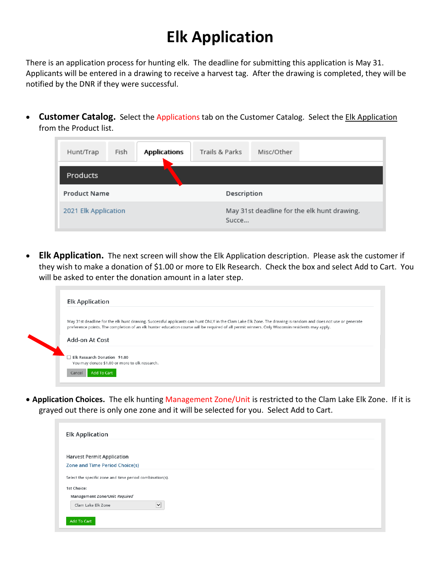## **Elk Application**

There is an application process for hunting elk. The deadline for submitting this application is May 31. Applicants will be entered in a drawing to receive a harvest tag. After the drawing is completed, they will be notified by the DNR if they were successful.

• **Customer Catalog.** Select the Applications tab on the Customer Catalog. Select the Elk Application from the Product list.

| Fish<br>Hunt/Trap    | <b>Applications</b> | Trails & Parks | Misc/Other                                  |  |
|----------------------|---------------------|----------------|---------------------------------------------|--|
| Products             |                     |                |                                             |  |
| <b>Product Name</b>  |                     |                | Description                                 |  |
| 2021 Elk Application |                     | Succe          | May 31st deadline for the elk hunt drawing. |  |

• **Elk Application.** The next screen will show the Elk Application description. Please ask the customer if they wish to make a donation of \$1.00 or more to Elk Research. Check the box and select Add to Cart. You will be asked to enter the donation amount in a later step.

|                              | May 31st deadline for the elk hunt drawing. Successful applicants can hunt ONLY in the Clam Lake Elk Zone. The drawing is random and does not use or generate |
|------------------------------|---------------------------------------------------------------------------------------------------------------------------------------------------------------|
|                              | preference points. The completion of an elk hunter education course will be required of all permit winners. Only Wisconsin residents may apply.               |
| Add-on At Cost               |                                                                                                                                                               |
|                              |                                                                                                                                                               |
| Elk Research Donation \$1.00 | You may donate \$1.00 or more to elk research.                                                                                                                |

• **Application Choices.** The elk hunting Management Zone/Unit is restricted to the Clam Lake Elk Zone. If it is grayed out there is only one zone and it will be selected for you. Select Add to Cart.

| <b>Elk Application</b>                                   |  |
|----------------------------------------------------------|--|
| <b>Harvest Permit Application</b>                        |  |
| <b>Zone and Time Period Choice(s)</b>                    |  |
| Select the specific zone and time period combination(s). |  |
| 1st Choice:                                              |  |
| Management Zone/Unit Required                            |  |
| $\overline{\mathsf{v}}$<br>Clam Lake Elk Zone            |  |
| Add To Cart                                              |  |